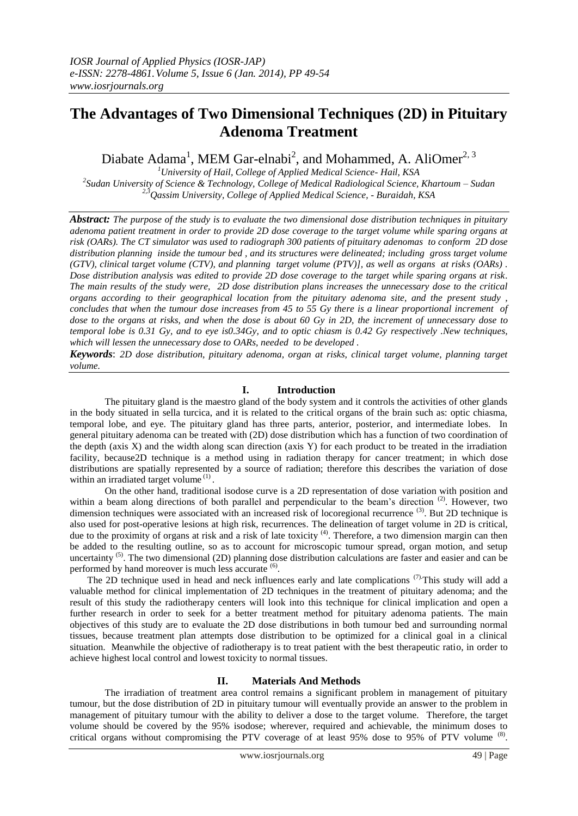# **The Advantages of Two Dimensional Techniques (2D) in Pituitary Adenoma Treatment**

Diabate Adama<sup>1</sup>, MEM Gar-elnabi<sup>2</sup>, and Mohammed, A. AliOmer<sup>2, 3</sup>

*<sup>1</sup>University of Hail, College of Applied Medical Science- Hail, KSA 2 Sudan University of Science & Technology, College of Medical Radiological Science, Khartoum – Sudan 2,3Qassim University, College of Applied Medical Science, - Buraidah, KSA*

*Abstract: The purpose of the study is to evaluate the two dimensional dose distribution techniques in pituitary adenoma patient treatment in order to provide 2D dose coverage to the target volume while sparing organs at risk (OARs). The CT simulator was used to radiograph 300 patients of pituitary adenomas to conform 2D dose distribution planning inside the tumour bed , and its structures were delineated; including gross target volume (GTV), clinical target volume (CTV), and planning target volume (PTV)], as well as organs at risks (OARs) . Dose distribution analysis was edited to provide 2D dose coverage to the target while sparing organs at risk. The main results of the study were, 2D dose distribution plans increases the unnecessary dose to the critical organs according to their geographical location from the pituitary adenoma site, and the present study , concludes that when the tumour dose increases from 45 to 55 Gy there is a linear proportional increment of dose to the organs at risks, and when the dose is about 60 Gy in 2D, the increment of unnecessary dose to temporal lobe is 0.31 Gy, and to eye is0.34Gy, and to optic chiasm is 0.42 Gy respectively .New techniques, which will lessen the unnecessary dose to OARs, needed to be developed .*

*Keywords*: *2D dose distribution, pituitary adenoma, organ at risks, clinical target volume, planning target volume.* 

# **I. Introduction**

The pituitary gland is the maestro gland of the body system and it controls the activities of other glands in the body situated in sella turcica, and it is related to the critical organs of the brain such as: optic chiasma, temporal lobe, and eye. The pituitary gland has three parts, anterior, posterior, and intermediate lobes. In general pituitary adenoma can be treated with (2D) dose distribution which has a function of two coordination of the depth (axis X) and the width along scan direction (axis Y) for each product to be treated in the irradiation facility, because2D technique is a method using in radiation therapy for cancer treatment; in which dose distributions are spatially represented by a source of radiation; therefore this describes the variation of dose within an irradiated target volume<sup>(1)</sup>.

On the other hand, traditional isodose curve is a 2D representation of dose variation with position and within a beam along directions of both parallel and perpendicular to the beam's direction<sup>(2)</sup>. However, two dimension techniques were associated with an increased risk of locoregional recurrence<sup>(3)</sup>. But 2D technique is also used for post-operative lesions at high risk, recurrences. The delineation of target volume in 2D is critical, due to the proximity of organs at risk and a risk of late toxicity<sup>(4)</sup>. Therefore, a two dimension margin can then be added to the resulting outline, so as to account for microscopic tumour spread, organ motion, and setup uncertainty<sup>(5)</sup>. The two dimensional (2D) planning dose distribution calculations are faster and easier and can be performed by hand moreover is much less accurate <sup>(6)</sup>.

The 2D technique used in head and neck influences early and late complications  $(7)$ . This study will add a valuable method for clinical implementation of 2D techniques in the treatment of pituitary adenoma; and the result of this study the radiotherapy centers will look into this technique for clinical implication and open a further research in order to seek for a better treatment method for pituitary adenoma patients. The main objectives of this study are to evaluate the 2D dose distributions in both tumour bed and surrounding normal tissues, because treatment plan attempts dose distribution to be optimized for a clinical goal in a clinical situation. Meanwhile the objective of radiotherapy is to treat patient with the best therapeutic ratio, in order to achieve highest local control and lowest toxicity to normal tissues.

## **II. Materials And Methods**

The irradiation of treatment area control remains a significant problem in management of pituitary tumour, but the dose distribution of 2D in pituitary tumour will eventually provide an answer to the problem in management of pituitary tumour with the ability to deliver a dose to the target volume. Therefore, the target volume should be covered by the 95% isodose; wherever, required and achievable, the minimum doses to critical organs without compromising the PTV coverage of at least 95% dose to 95% of PTV volume <sup>(8)</sup>.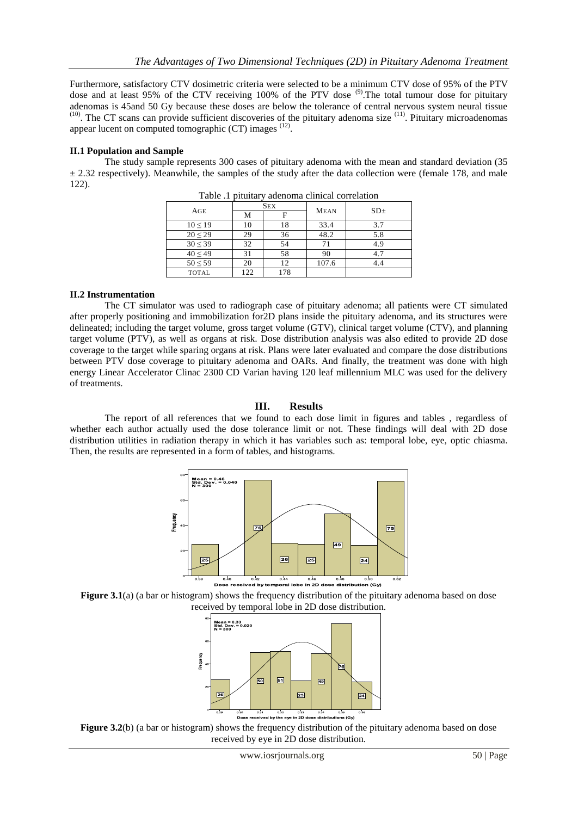Furthermore, satisfactory CTV dosimetric criteria were selected to be a minimum CTV dose of 95% of the PTV dose and at least 95% of the CTV receiving 100% of the PTV dose <sup>(9)</sup>. The total tumour dose for pituitary adenomas is 45and 50 Gy because these doses are below the tolerance of central nervous system neural tissue <sup>(10)</sup>. The CT scans can provide sufficient discoveries of the pituitary adenoma size <sup>(11)</sup>. Pituitary microadenomas appear lucent on computed tomographic  $(CT)$  images  $(12)$ .

## **II.1 Population and Sample**

The study sample represents 300 cases of pituitary adenoma with the mean and standard deviation (35  $\pm$  2.32 respectively). Meanwhile, the samples of the study after the data collection were (female 178, and male 122).

| AGE          | <b>SEX</b> |     | <b>MEAN</b> | SD <sub>±</sub> |
|--------------|------------|-----|-------------|-----------------|
|              | М          | F   |             |                 |
| $10 \le 19$  | 10         | 18  | 33.4        | 3.7             |
| $20 \le 29$  | 29         | 36  | 48.2        | 5.8             |
| $30 \le 39$  | 32         | 54  | 71          | 4.9             |
| $40 \le 49$  | 31         | 58  | 90          | 4.7             |
| $50 \leq 59$ | 20         | 12  | 107.6       | 4.4             |
| <b>TOTAL</b> | 122        | 178 |             |                 |

Table .1 pituitary adenoma clinical correlation

## **II.2 Instrumentation**

The CT simulator was used to radiograph case of pituitary adenoma; all patients were CT simulated after properly positioning and immobilization for2D plans inside the pituitary adenoma, and its structures were delineated; including the target volume, gross target volume (GTV), clinical target volume (CTV), and planning target volume (PTV), as well as organs at risk. Dose distribution analysis was also edited to provide 2D dose coverage to the target while sparing organs at risk. Plans were later evaluated and compare the dose distributions between PTV dose coverage to pituitary adenoma and OARs. And finally, the treatment was done with high energy Linear Accelerator Clinac 2300 CD Varian having 120 leaf millennium MLC was used for the delivery of treatments.

# **III. Results**

The report of all references that we found to each dose limit in figures and tables , regardless of whether each author actually used the dose tolerance limit or not. These findings will deal with 2D dose distribution utilities in radiation therapy in which it has variables such as: temporal lobe, eye, optic chiasma. Then, the results are represented in a form of tables, and histograms.







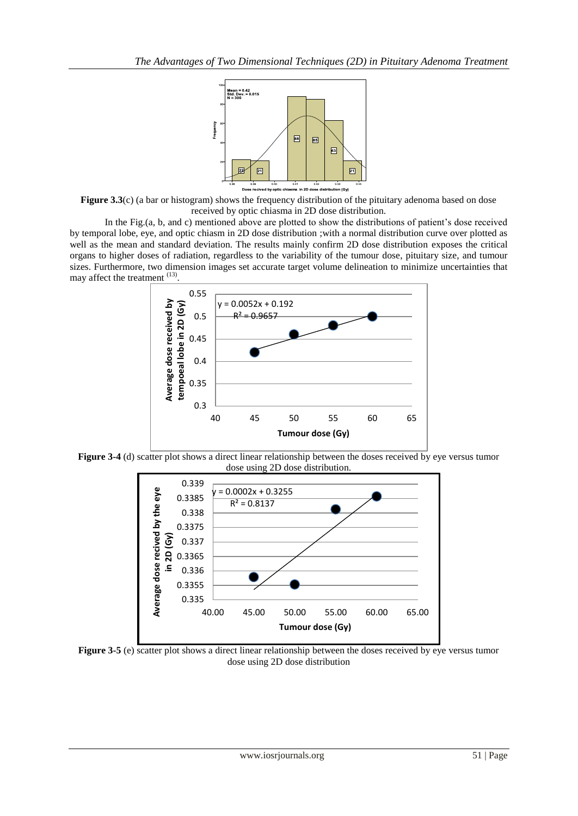

**Figure 3.3**(c) (a bar or histogram) shows the frequency distribution of the pituitary adenoma based on dose received by optic chiasma in 2D dose distribution.

In the Fig.(a, b, and c) mentioned above are plotted to show the distributions of patient's dose received by temporal lobe, eye, and optic chiasm in 2D dose distribution ;with a normal distribution curve over plotted as well as the mean and standard deviation. The results mainly confirm 2D dose distribution exposes the critical organs to higher doses of radiation, regardless to the variability of the tumour dose, pituitary size, and tumour sizes. Furthermore, two dimension images set accurate target volume delineation to minimize uncertainties that may affect the treatment (13) .



**Figure 3-4** (d) scatter plot shows a direct linear relationship between the doses received by eye versus tumor dose using 2D dose distribution.



**Figure 3-5** (e) scatter plot shows a direct linear relationship between the doses received by eye versus tumor dose using 2D dose distribution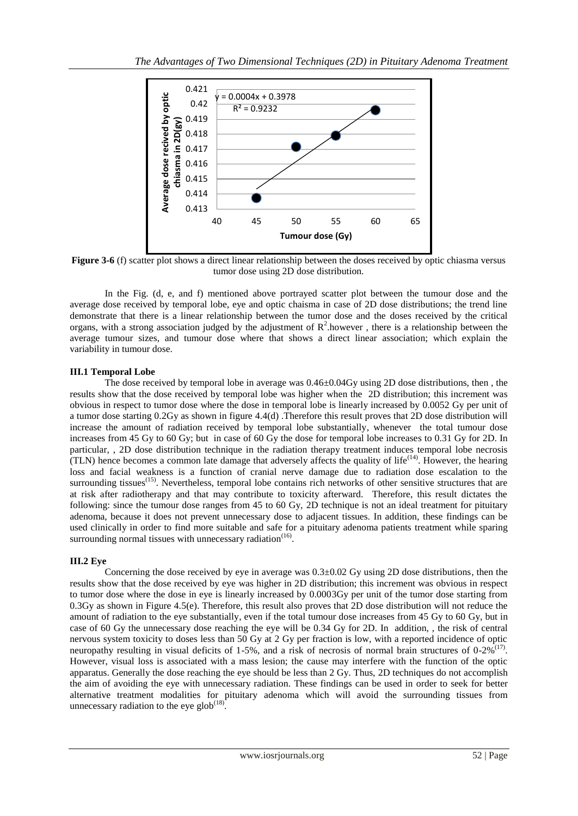

**Figure 3-6** (f) scatter plot shows a direct linear relationship between the doses received by optic chiasma versus tumor dose using 2D dose distribution.

In the Fig. (d, e, and f) mentioned above portrayed scatter plot between the tumour dose and the average dose received by temporal lobe, eye and optic chaisma in case of 2D dose distributions; the trend line demonstrate that there is a linear relationship between the tumor dose and the doses received by the critical organs, with a strong association judged by the adjustment of  $R^2$  however, there is a relationship between the average tumour sizes, and tumour dose where that shows a direct linear association; which explain the variability in tumour dose.

# **III.1 Temporal Lobe**

The dose received by temporal lobe in average was 0.46±0.04Gy using 2D dose distributions, then , the results show that the dose received by temporal lobe was higher when the 2D distribution; this increment was obvious in respect to tumor dose where the dose in temporal lobe is linearly increased by 0.0052 Gy per unit of a tumor dose starting 0.2Gy as shown in figure 4.4(d) .Therefore this result proves that 2D dose distribution will increase the amount of radiation received by temporal lobe substantially, whenever the total tumour dose increases from 45 Gy to 60 Gy; but in case of 60 Gy the dose for temporal lobe increases to 0.31 Gy for 2D. In particular, , 2D dose distribution technique in the radiation therapy treatment induces temporal lobe necrosis (TLN) hence becomes a common late damage that adversely affects the quality of life(14). However, the hearing loss and facial weakness is a function of cranial nerve damage due to radiation dose escalation to the surrounding tissues<sup> $(15)$ </sup>. Nevertheless, temporal lobe contains rich networks of other sensitive structures that are at risk after radiotherapy and that may contribute to toxicity afterward. Therefore, this result dictates the following: since the tumour dose ranges from 45 to 60 Gy, 2D technique is not an ideal treatment for pituitary adenoma, because it does not prevent unnecessary dose to adjacent tissues. In addition, these findings can be used clinically in order to find more suitable and safe for a pituitary adenoma patients treatment while sparing surrounding normal tissues with unnecessary radiation $(16)$ .

# **III.2 Eye**

Concerning the dose received by eye in average was 0.3±0.02 Gy using 2D dose distributions, then the results show that the dose received by eye was higher in 2D distribution; this increment was obvious in respect to tumor dose where the dose in eye is linearly increased by 0.0003Gy per unit of the tumor dose starting from 0.3Gy as shown in Figure 4.5(e). Therefore, this result also proves that 2D dose distribution will not reduce the amount of radiation to the eye substantially, even if the total tumour dose increases from 45 Gy to 60 Gy, but in case of 60 Gy the unnecessary dose reaching the eye will be 0.34 Gy for 2D. In addition, , the risk of central nervous system toxicity to doses less than 50 Gy at 2 Gy per fraction is low, with a reported incidence of optic neuropathy resulting in visual deficits of 1-5%, and a risk of necrosis of normal brain structures of  $0\n-2\%^{(17)}$ . However, visual loss is associated with a mass lesion; the cause may interfere with the function of the optic apparatus. Generally the dose reaching the eye should be less than 2 Gy. Thus, 2D techniques do not accomplish the aim of avoiding the eye with unnecessary radiation. These findings can be used in order to seek for better alternative treatment modalities for pituitary adenoma which will avoid the surrounding tissues from unnecessary radiation to the eye glob $(18)$ .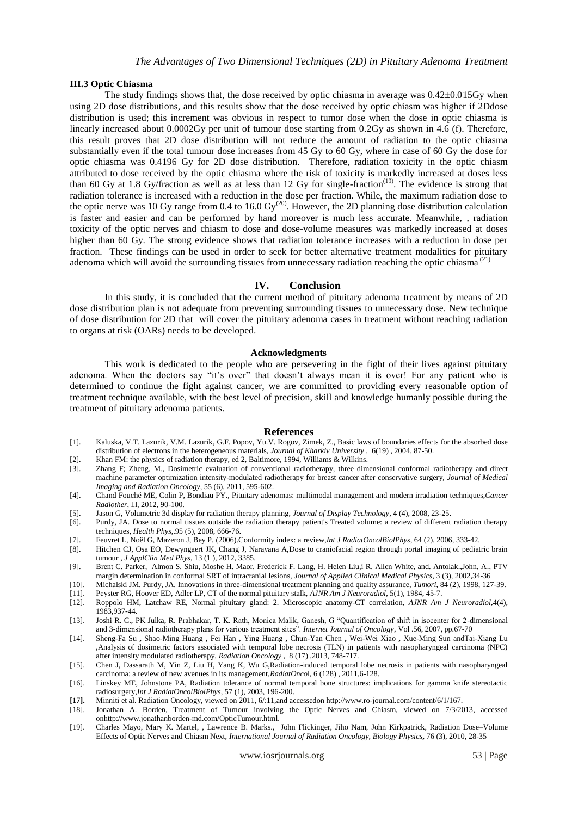#### **III.3 Optic Chiasma**

The study findings shows that, the dose received by optic chiasma in average was  $0.42\pm0.015$  Gy when using 2D dose distributions, and this results show that the dose received by optic chiasm was higher if 2Ddose distribution is used; this increment was obvious in respect to tumor dose when the dose in optic chiasma is linearly increased about 0.0002Gy per unit of tumour dose starting from 0.2Gy as shown in 4.6 (f). Therefore, this result proves that 2D dose distribution will not reduce the amount of radiation to the optic chiasma substantially even if the total tumour dose increases from 45 Gy to 60 Gy, where in case of 60 Gy the dose for optic chiasma was 0.4196 Gy for 2D dose distribution. Therefore, radiation toxicity in the optic chiasm attributed to dose received by the optic chiasma where the risk of toxicity is markedly increased at doses less than 60 Gy at 1.8 Gy/fraction as well as at less than 12 Gy for single-fraction<sup>(19)</sup>. The evidence is strong that radiation tolerance is increased with a reduction in the dose per fraction. While, the maximum radiation dose to the optic nerve was 10 Gy range from 0.4 to 16.0  $\text{Gy}^{(20)}$ . However, the 2D planning dose distribution calculation is faster and easier and can be performed by hand moreover is much less accurate. Meanwhile, , radiation toxicity of the optic nerves and chiasm to dose and dose-volume measures was markedly increased at doses higher than 60 Gy. The strong evidence shows that radiation tolerance increases with a reduction in dose per fraction. These findings can be used in order to seek for better alternative treatment modalities for pituitary adenoma which will avoid the surrounding tissues from unnecessary radiation reaching the optic chiasma  $^{(21)}$ .

#### **IV. Conclusion**

In this study, it is concluded that the current method of pituitary adenoma treatment by means of 2D dose distribution plan is not adequate from preventing surrounding tissues to unnecessary dose. New technique of dose distribution for 2D that will cover the pituitary adenoma cases in treatment without reaching radiation to organs at risk (OARs) needs to be developed.

#### **Acknowledgments**

This work is dedicated to the people who are persevering in the fight of their lives against pituitary adenoma. When the doctors say "it's over" that doesn't always mean it is over! For any patient who is determined to continue the fight against cancer, we are committed to providing every reasonable option of treatment technique available, with the best level of precision, skill and knowledge humanly possible during the treatment of pituitary adenoma patients.

#### **References**

- [1]. Kaluska, V.T. Lazurik, V.M. Lazurik, G.F. Popov, Yu.V. Rogov, Zimek, Z., Basic laws of boundaries effects for the absorbed dose distribution of electrons in the heterogeneous materials, *Journal of Kharkiv University* , 6(19) , 2004, 87-50.
- [2]. Khan FM: the physics of radiation therapy, ed 2, Baltimore, 1994, Williams & Wilkins.
- [3]. Zhang F; Zheng, M., Dosimetric evaluation of conventional radiotherapy, three dimensional conformal radiotherapy and direct machine parameter optimization intensity-modulated radiotherapy for breast cancer after conservative surgery, *Journal of Medical Imaging and Radiation Oncology*, 55 (6), 2011, 595-602.
- [4]. Chand Fouché ME, Colin P, Bondiau PY., Pituitary adenomas: multimodal management and modern irradiation techniques,*Cancer Radiother*, l.l, 2012, 90-100.
- [5]. Jason G, Volumetric 3d display for radiation therapy planning, *Journal of Display Technology*, 4 (4), 2008, 23-25.
- [6]. Purdy, JA. Dose to normal tissues outside the radiation therapy patient's Treated volume: a review of different radiation therapy techniques, *Health Phys*,.95 (5), 2008, 666-76.
- [7]. Feuvret L, Noël G, Mazeron J, Bey P. (2006).Conformity index: a review,*Int J RadiatOncolBiolPhys*, 64 (2), 2006, 333-42.
- Hitchen CJ, Osa EO, Dewyngaert JK, Chang J, Narayana A,Dose to craniofacial region through portal imaging of pediatric brain tumour , *J ApplClin Med Phys*, 13 (1 ), 2012, 3385.
- [9]. Brent C. Parker, Almon S. Shiu, Moshe H. Maor, Frederick F. Lang, H. Helen Liu,i R. Allen White, and. Antolak.,John, A., PTV margin determination in conformal SRT of intracranial lesions, *Journal of Applied Clinical Medical Physics*, 3 (3), 2002,34-36
- [10]. Michalski JM, Purdy, JA. Innovations in three-dimensional treatment planning and quality assurance, *Tumori*, 84 (2), 1998, 127-39.
- [11]. Peyster RG, Hoover ED, Adler LP, CT of the normal pituitary stalk, *AJNR Am J Neuroradiol*, 5(1), 1984, 45-7.
- [12]. Roppolo HM, Latchaw RE, Normal pituitary gland: 2. Microscopic anatomy-CT correlation, *AJNR Am J Neuroradiol*,4(4), 1983,937-44.
- [13]. Joshi R. C., PK Julka, R. Prabhakar, T. K. Rath, Monica Malik, Ganesh, G "Quantification of shift in isocenter for 2-dimensional and 3-dimensional radiotherapy plans for various treatment sites". *Internet Journal of Oncology*, Vol .56, 2007, pp.67-70
- [14]. Sheng-Fa Su **,** Shao-Ming Huang **,** Fei Han **,** Ying Huang **,** Chun-Yan Chen **,** Wei-Wei Xiao **,** Xue-Ming Sun andTai-Xiang Lu ,Analysis of dosimetric factors associated with temporal lobe necrosis (TLN) in patients with nasopharyngeal carcinoma (NPC) after intensity modulated radiotherapy, *Radiation Oncology* , 8 (17) ,2013, 748-717.
- [15]. Chen J, Dassarath M, Yin Z, Liu H, Yang K, Wu G,Radiation-induced temporal lobe necrosis in patients with nasopharyngeal carcinoma: a review of new avenues in its management,*RadiatOnco*l, 6 (128) , 2011,6-128.
- [16]. Linskey ME, Johnstone PA, Radiation tolerance of normal temporal bone structures: implications for gamma knife stereotactic radiosurgery,*Int J RadiatOncolBiolPhys*, 57 (1), 2003, 196-200.
- **[17].** Minniti et al. Radiation Oncology, viewed on 2011, 6/:11,and accessedon http://www.ro-journal.com/content/6/1/167.
- [18]. Jonathan A. Borden, Treatment of Tumour involving the Optic Nerves and Chiasm, viewed on 7/3/2013, accessed onhttp://www.jonathanborden-md.com/OpticTumour.html.
- [19]. Charles Mayo, Mary K. Martel, , Lawrence B. Marks., John Flickinger, Jiho Nam, John Kirkpatrick, Radiation Dose–Volume Effects of Optic Nerves and Chiasm Next, *International Journal of Radiation Oncology, Biology Physics***,** 76 (3), 2010, 28-35